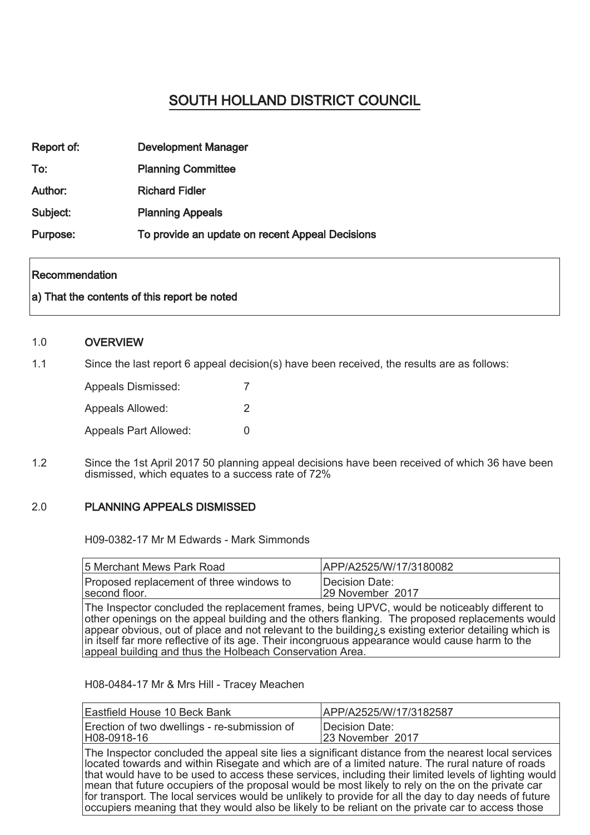# SOUTH HOLLAND DISTRICT COUNCIL

| Report of: | <b>Development Manager</b>                      |
|------------|-------------------------------------------------|
| To:        | <b>Planning Committee</b>                       |
| Author:    | <b>Richard Fidler</b>                           |
| Subject:   | <b>Planning Appeals</b>                         |
| Purpose:   | To provide an update on recent Appeal Decisions |

#### **Recommendation**

## a) That the contents of this report be noted

#### 1.0 **OVERVIEW**

1.1 Since the last report 6 appeal decision(s) have been received, the results are as follows:

| Appeals Dismissed:           |   |
|------------------------------|---|
| Appeals Allowed:             | 2 |
| <b>Appeals Part Allowed:</b> | U |

1.2 Since the 1st April 2017 50 planning appeal decisions have been received of which 36 have been dismissed, which equates to a success rate of 72%

#### 2.0 PLANNING APPEALS DISMISSED

H09-0382-17 Mr M Edwards - Mark Simmonds

| 5 Merchant Mews Park Road                                                                                                                                                                                                                                                                                                                                                                                                                                                    | APP/A2525/W/17/3180082             |
|------------------------------------------------------------------------------------------------------------------------------------------------------------------------------------------------------------------------------------------------------------------------------------------------------------------------------------------------------------------------------------------------------------------------------------------------------------------------------|------------------------------------|
| Proposed replacement of three windows to<br>second floor.                                                                                                                                                                                                                                                                                                                                                                                                                    | Decision Date:<br>29 November 2017 |
| The Inspector concluded the replacement frames, being UPVC, would be noticeably different to<br>other openings on the appeal building and the others flanking. The proposed replacements would<br>appear obvious, out of place and not relevant to the building $\bar{z}$ existing exterior detailing which is<br>in itself far more reflective of its age. Their incongruous appearance would cause harm to the<br>appeal building and thus the Holbeach Conservation Area. |                                    |

H08-0484-17 Mr & Mrs Hill - Tracey Meachen

| Eastfield House 10 Beck Bank                                                                                                                                                                                                                                                                                                                                                                                                                                                                                               | APP/A2525/W/17/3182587                                                                                |
|----------------------------------------------------------------------------------------------------------------------------------------------------------------------------------------------------------------------------------------------------------------------------------------------------------------------------------------------------------------------------------------------------------------------------------------------------------------------------------------------------------------------------|-------------------------------------------------------------------------------------------------------|
| Erection of two dwellings - re-submission of<br>H08-0918-16                                                                                                                                                                                                                                                                                                                                                                                                                                                                | Decision Date:<br>23 November 2017                                                                    |
| The Inspector concluded the appeal site lies a significant distance from the nearest local services<br>located towards and within Risegate and which are of a limited nature. The rural nature of roads<br>mean that future occupiers of the proposal would be most likely to rely on the on the private car<br>for transport. The local services would be unlikely to provide for all the day to day needs of future<br>occupiers meaning that they would also be likely to be reliant on the private car to access those | that would have to be used to access these services, including their limited levels of lighting would |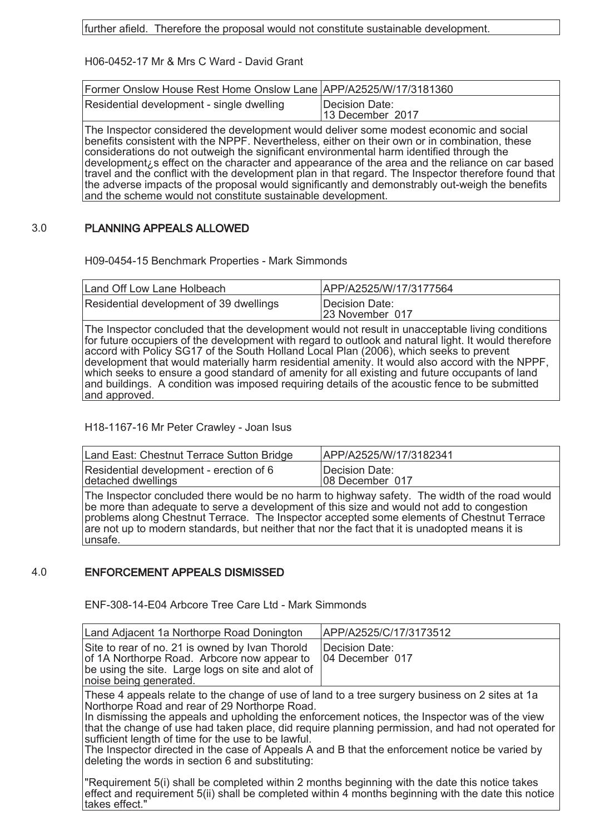further afield. Therefore the proposal would not constitute sustainable development.

H06-0452-17 Mr & Mrs C Ward - David Grant

| Residential development - single dwelling<br>Decision Date:<br>13 December 2017 | Former Onslow House Rest Home Onslow Lane   APP/A2525/W/17/3181360 |  |
|---------------------------------------------------------------------------------|--------------------------------------------------------------------|--|
|                                                                                 |                                                                    |  |

The Inspector considered the development would deliver some modest economic and social benefits consistent with the NPPF. Nevertheless, either on their own or in combination, these considerations do not outweigh the significant environmental harm identified through the development¿s effect on the character and appearance of the area and the reliance on car based travel and the conflict with the development plan in that regard. The Inspector therefore found that the adverse impacts of the proposal would significantly and demonstrably out-weigh the benefits and the scheme would not constitute sustainable development.

#### 3.0 PLANNING APPEALS ALLOWED

H09-0454-15 Benchmark Properties - Mark Simmonds

| Land Off Low Lane Holbeach              | IAPP/A2525/W/17/3177564           |
|-----------------------------------------|-----------------------------------|
| Residential development of 39 dwellings | Decision Date:<br>23 November 017 |

The Inspector concluded that the development would not result in unacceptable living conditions for future occupiers of the development with regard to outlook and natural light. It would therefore accord with Policy SG17 of the South Holland Local Plan (2006), which seeks to prevent development that would materially harm residential amenity. It would also accord with the NPPF, which seeks to ensure a good standard of amenity for all existing and future occupants of land and buildings. A condition was imposed requiring details of the acoustic fence to be submitted and approved.

H18-1167-16 Mr Peter Crawley - Joan Isus

| Land East: Chestnut Terrace Sutton Bridge                                                           | IAPP/A2525/W/17/3182341            |
|-----------------------------------------------------------------------------------------------------|------------------------------------|
| Residential development - erection of 6<br>detached dwellings                                       | Decision Date:<br>108 December 017 |
| $\Box$ The Increase concluded there would be no berm to bighway safety. The width of the road would |                                    |

The Inspector concluded there would be no harm to highway safety. The width of the road would be more than adequate to serve a development of this size and would not add to congestion problems along Chestnut Terrace. The Inspector accepted some elements of Chestnut Terrace are not up to modern standards, but neither that nor the fact that it is unadopted means it is unsafe.

## 4.0 ENFORCEMENT APPEALS DISMISSED

ENF-308-14-E04 Arbcore Tree Care Ltd - Mark Simmonds

| Land Adjacent 1a Northorpe Road Donington                                                                                                                                                                                                                                                                                                                                                                                                                                                                                                                             | APP/A2525/C/17/3173512            |
|-----------------------------------------------------------------------------------------------------------------------------------------------------------------------------------------------------------------------------------------------------------------------------------------------------------------------------------------------------------------------------------------------------------------------------------------------------------------------------------------------------------------------------------------------------------------------|-----------------------------------|
| Site to rear of no. 21 is owned by Ivan Thorold<br>of 1A Northorpe Road. Arbcore now appear to<br>be using the site. Large logs on site and alot of<br>noise being generated.                                                                                                                                                                                                                                                                                                                                                                                         | Decision Date:<br>04 December 017 |
| These 4 appeals relate to the change of use of land to a tree surgery business on 2 sites at 1a<br>Northorpe Road and rear of 29 Northorpe Road.<br>In dismissing the appeals and upholding the enforcement notices, the Inspector was of the view<br>that the change of use had taken place, did require planning permission, and had not operated for<br>sufficient length of time for the use to be lawful.<br>The Inspector directed in the case of Appeals A and B that the enforcement notice be varied by<br>deleting the words in section 6 and substituting: |                                   |
| "Requirement 5(i) shall be completed within 2 months beginning with the date this notice takes<br>effect and requirement 5(ii) shall be completed within 4 months beginning with the date this notice<br>takes effect."                                                                                                                                                                                                                                                                                                                                               |                                   |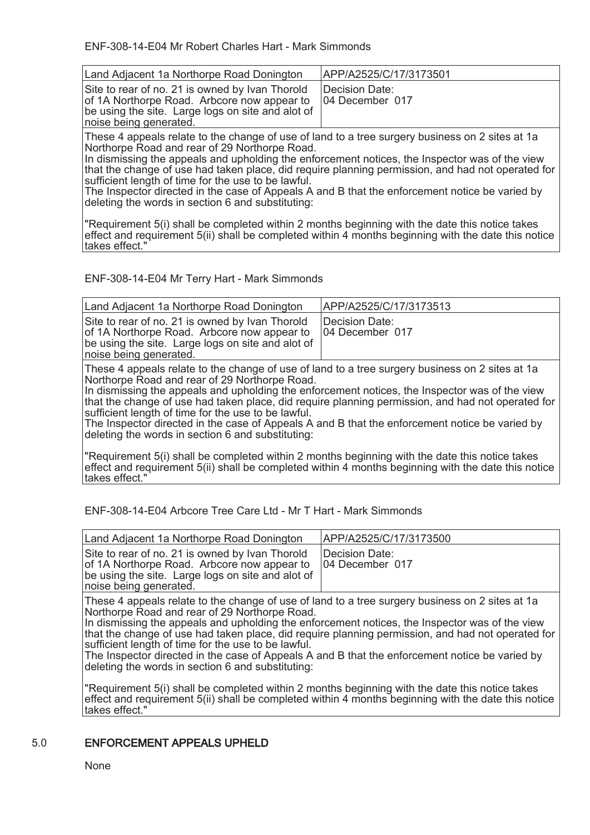ENF-308-14-E04 Mr Robert Charles Hart - Mark Simmonds

| Land Adjacent 1a Northorpe Road Donington                                                                                                                                                                                                                                                                                                                                                                                                                                                                                                                             | APP/A2525/C/17/3173501                                                                              |
|-----------------------------------------------------------------------------------------------------------------------------------------------------------------------------------------------------------------------------------------------------------------------------------------------------------------------------------------------------------------------------------------------------------------------------------------------------------------------------------------------------------------------------------------------------------------------|-----------------------------------------------------------------------------------------------------|
| Site to rear of no. 21 is owned by Ivan Thorold<br>of 1A Northorpe Road. Arbcore now appear to<br>be using the site. Large logs on site and alot of<br>noise being generated.                                                                                                                                                                                                                                                                                                                                                                                         | Decision Date:<br>04 December 017                                                                   |
| These 4 appeals relate to the change of use of land to a tree surgery business on 2 sites at 1a<br>Northorpe Road and rear of 29 Northorpe Road.<br>In dismissing the appeals and upholding the enforcement notices, the Inspector was of the view<br>that the change of use had taken place, did require planning permission, and had not operated for<br>sufficient length of time for the use to be lawful.<br>The Inspector directed in the case of Appeals A and B that the enforcement notice be varied by<br>deleting the words in section 6 and substituting: |                                                                                                     |
| "Requirement 5(i) shall be completed within 2 months beginning with the date this notice takes<br>takes effect."                                                                                                                                                                                                                                                                                                                                                                                                                                                      | effect and requirement 5(ii) shall be completed within 4 months beginning with the date this notice |

ENF-308-14-E04 Mr Terry Hart - Mark Simmonds

| Land Adjacent 1a Northorpe Road Donington                                                                                                                                                                                                                                                                                                                                                                                                                                                                                                                             | APP/A2525/C/17/3173513            |
|-----------------------------------------------------------------------------------------------------------------------------------------------------------------------------------------------------------------------------------------------------------------------------------------------------------------------------------------------------------------------------------------------------------------------------------------------------------------------------------------------------------------------------------------------------------------------|-----------------------------------|
| Site to rear of no. 21 is owned by Ivan Thorold<br>of 1A Northorpe Road. Arbcore now appear to<br>be using the site. Large logs on site and alot of<br>noise being generated.                                                                                                                                                                                                                                                                                                                                                                                         | Decision Date:<br>04 December 017 |
| These 4 appeals relate to the change of use of land to a tree surgery business on 2 sites at 1a<br>Northorpe Road and rear of 29 Northorpe Road.<br>In dismissing the appeals and upholding the enforcement notices, the Inspector was of the view<br>that the change of use had taken place, did require planning permission, and had not operated for<br>sufficient length of time for the use to be lawful.<br>The Inspector directed in the case of Appeals A and B that the enforcement notice be varied by<br>deleting the words in section 6 and substituting: |                                   |
| "Requirement 5(i) shall be completed within 2 months beginning with the date this notice takes<br>effect and requirement 5(ii) shall be completed within 4 months beginning with the date this notice<br>takes effect."                                                                                                                                                                                                                                                                                                                                               |                                   |

ENF-308-14-E04 Arbcore Tree Care Ltd - Mr T Hart - Mark Simmonds

| Land Adjacent 1a Northorpe Road Donington                                                                                                                                     | APP/A2525/C/17/3173500            |
|-------------------------------------------------------------------------------------------------------------------------------------------------------------------------------|-----------------------------------|
| Site to rear of no. 21 is owned by Ivan Thorold<br>of 1A Northorpe Road. Arbcore now appear to<br>be using the site. Large logs on site and alot of<br>noise being generated. | Decision Date:<br>04 December 017 |

These 4 appeals relate to the change of use of land to a tree surgery business on 2 sites at 1a Northorpe Road and rear of 29 Northorpe Road.

In dismissing the appeals and upholding the enforcement notices, the Inspector was of the view that the change of use had taken place, did require planning permission, and had not operated for sufficient length of time for the use to be lawful.

The Inspector directed in the case of Appeals A and B that the enforcement notice be varied by deleting the words in section 6 and substituting:

"Requirement 5(i) shall be completed within 2 months beginning with the date this notice takes effect and requirement 5(ii) shall be completed within 4 months beginning with the date this notice takes effect."

## 5.0 ENFORCEMENT APPEALS UPHELD

None